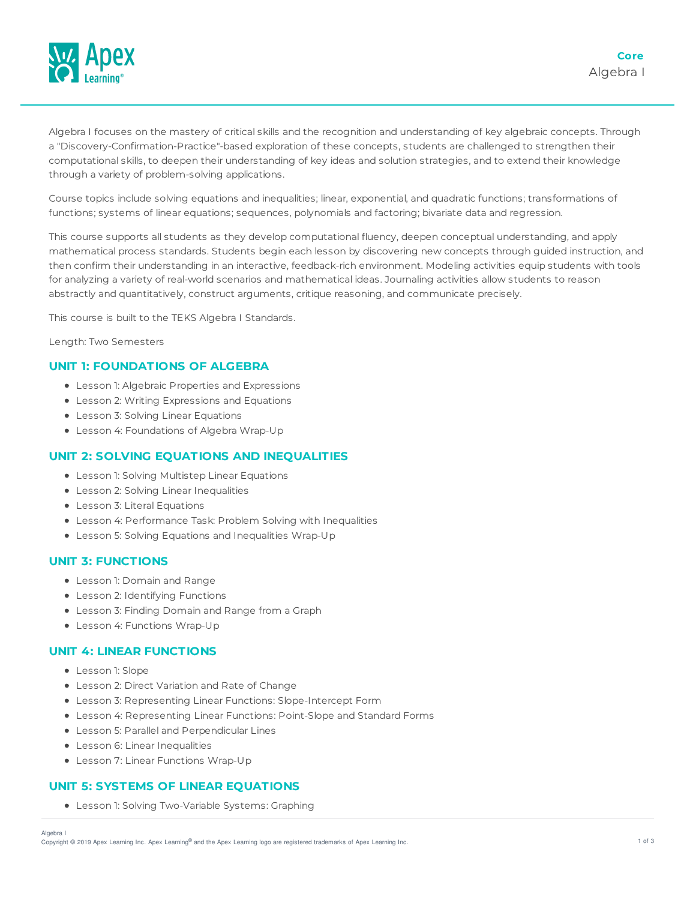

Algebra I focuses on the mastery of critical skills and the recognition and understanding of key algebraic concepts. Through a "Discovery-Confirmation-Practice"-based exploration of these concepts, students are challenged to strengthen their computational skills, to deepen their understanding of key ideas and solution strategies, and to extend their knowledge through a variety of problem-solving applications.

Course topics include solving equations and inequalities; linear, exponential, and quadratic functions; transformations of functions; systems of linear equations; sequences, polynomials and factoring; bivariate data and regression.

This course supports all students as they develop computational fluency, deepen conceptual understanding, and apply mathematical process standards. Students begin each lesson by discovering new concepts through guided instruction, and then confirm their understanding in an interactive, feedback-rich environment. Modeling activities equip students with tools for analyzing a variety of real-world scenarios and mathematical ideas. Journaling activities allow students to reason abstractly and quantitatively, construct arguments, critique reasoning, and communicate precisely.

This course is built to the TEKS Algebra I Standards.

Length: Two Semesters

# **UNIT 1: FOUNDATIONS OF ALGEBRA**

- Lesson 1: Algebraic Properties and Expressions
- Lesson 2: Writing Expressions and Equations
- Lesson 3: Solving Linear Equations
- Lesson 4: Foundations of Algebra Wrap-Up

# **UNIT 2: SOLVING EQUATIONS AND INEQUALITIES**

- Lesson 1: Solving Multistep Linear Equations
- Lesson 2: Solving Linear Inequalities
- Lesson 3: Literal Equations
- Lesson 4: Performance Task: Problem Solving with Inequalities
- Lesson 5: Solving Equations and Inequalities Wrap-Up

### **UNIT 3: FUNCTIONS**

- Lesson 1: Domain and Range
- Lesson 2: Identifying Functions
- Lesson 3: Finding Domain and Range from a Graph
- Lesson 4: Functions Wrap-Up

### **UNIT 4: LINEAR FUNCTIONS**

- Lesson 1: Slope
- Lesson 2: Direct Variation and Rate of Change
- Lesson 3: Representing Linear Functions: Slope-Intercept Form
- Lesson 4: Representing Linear Functions: Point-Slope and Standard Forms
- Lesson 5: Parallel and Perpendicular Lines
- Lesson 6: Linear Inequalities
- Lesson 7: Linear Functions Wrap-Up

# **UNIT 5: SYSTEMS OF LINEAR EQUATIONS**

Lesson 1: Solving Two-Variable Systems: Graphing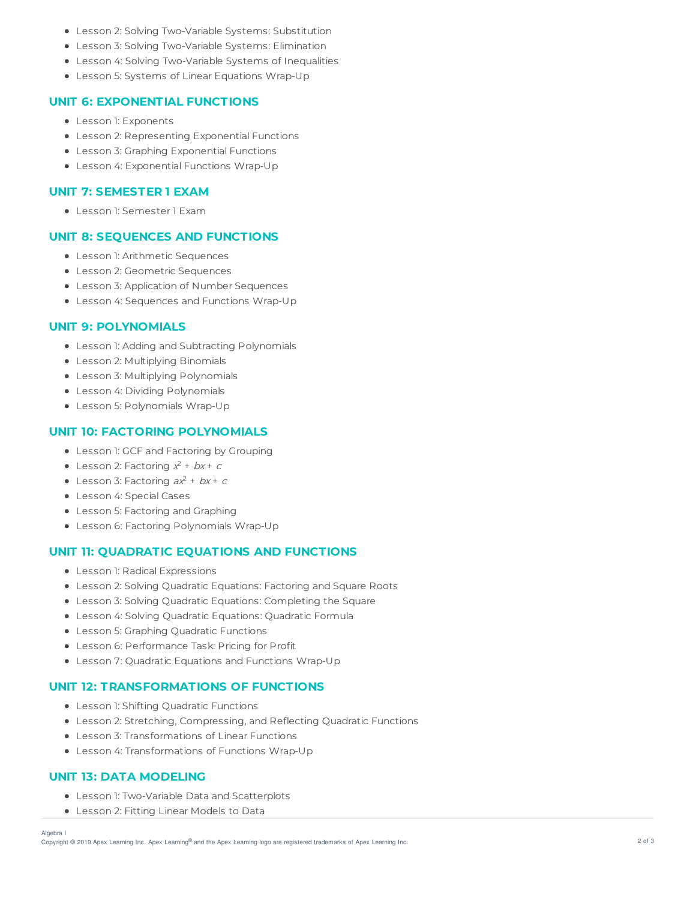- Lesson 2: Solving Two-Variable Systems: Substitution
- Lesson 3: Solving Two-Variable Systems: Elimination
- Lesson 4: Solving Two-Variable Systems of Inequalities
- Lesson 5: Systems of Linear Equations Wrap-Up

### **UNIT 6: EXPONENTIAL FUNCTIONS**

- Lesson 1: Exponents
- Lesson 2: Representing Exponential Functions
- Lesson 3: Graphing Exponential Functions
- Lesson 4: Exponential Functions Wrap-Up

### **UNIT 7: SEMESTER 1 EXAM**

Lesson 1: Semester 1 Exam

# **UNIT 8: SEQUENCES AND FUNCTIONS**

- Lesson 1: Arithmetic Sequences
- Lesson 2: Geometric Sequences
- Lesson 3: Application of Number Sequences
- Lesson 4: Sequences and Functions Wrap-Up

### **UNIT 9: POLYNOMIALS**

- Lesson 1: Adding and Subtracting Polynomials
- Lesson 2: Multiplying Binomials
- Lesson 3: Multiplying Polynomials
- Lesson 4: Dividing Polynomials
- Lesson 5: Polynomials Wrap-Up

# **UNIT 10: FACTORING POLYNOMIALS**

- Lesson 1: GCF and Factoring by Grouping
- Lesson 2: Factoring  $x^2 + bx + c$
- Lesson 3: Factoring  $ax^2 + bx + c$
- Lesson 4: Special Cases
- Lesson 5: Factoring and Graphing
- Lesson 6: Factoring Polynomials Wrap-Up

## **UNIT 11: QUADRATIC EQUATIONS AND FUNCTIONS**

- Lesson 1: Radical Expressions
- Lesson 2: Solving Quadratic Equations: Factoring and Square Roots
- Lesson 3: Solving Quadratic Equations: Completing the Square
- Lesson 4: Solving Quadratic Equations: Quadratic Formula
- Lesson 5: Graphing Quadratic Functions
- Lesson 6: Performance Task: Pricing for Profit
- Lesson 7: Quadratic Equations and Functions Wrap-Up

## **UNIT 12: TRANSFORMATIONS OF FUNCTIONS**

- Lesson 1: Shifting Quadratic Functions
- Lesson 2: Stretching, Compressing, and Reflecting Quadratic Functions
- Lesson 3: Transformations of Linear Functions
- Lesson 4: Transformations of Functions Wrap-Up

# **UNIT 13: DATA MODELING**

- Lesson 1: Two-Variable Data and Scatterplots
- Lesson 2: Fitting Linear Models to Data

#### Algebra I

Copyright © 2019 Apex Learning Inc. Apex Learning® and the Apex Learning logo are registered trademarks of Apex Learning Inc. <br>Copyright © 2019 Apex Learning Inc. Apex Learning® and the Apex Learning Iogo are registered tr